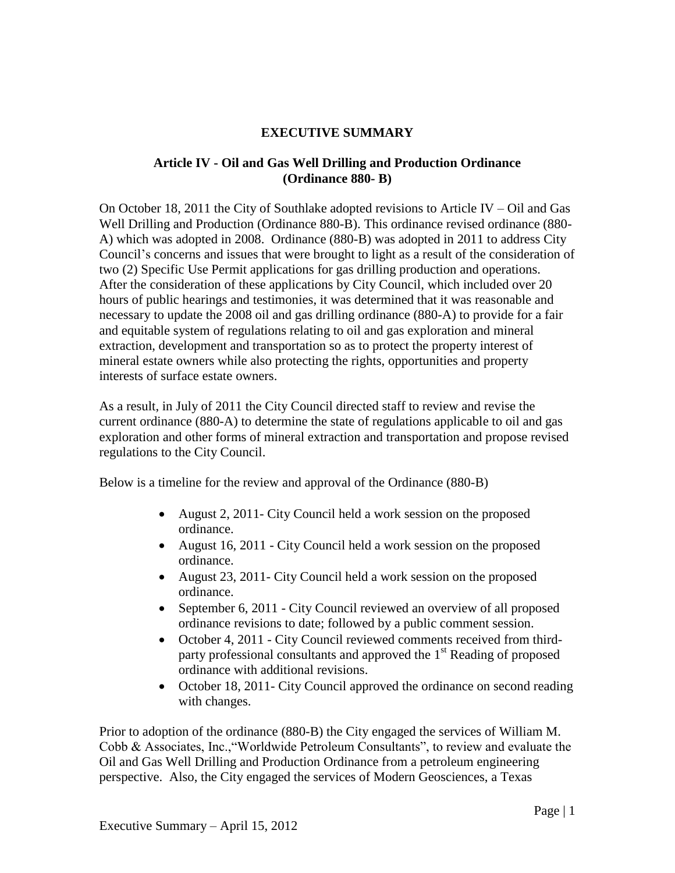## **EXECUTIVE SUMMARY**

## **Article IV - Oil and Gas Well Drilling and Production Ordinance (Ordinance 880- B)**

On October 18, 2011 the City of Southlake adopted revisions to Article IV – Oil and Gas Well Drilling and Production (Ordinance 880-B). This ordinance revised ordinance (880- A) which was adopted in 2008. Ordinance (880-B) was adopted in 2011 to address City Council's concerns and issues that were brought to light as a result of the consideration of two (2) Specific Use Permit applications for gas drilling production and operations. After the consideration of these applications by City Council, which included over 20 hours of public hearings and testimonies, it was determined that it was reasonable and necessary to update the 2008 oil and gas drilling ordinance (880-A) to provide for a fair and equitable system of regulations relating to oil and gas exploration and mineral extraction, development and transportation so as to protect the property interest of mineral estate owners while also protecting the rights, opportunities and property interests of surface estate owners.

As a result, in July of 2011 the City Council directed staff to review and revise the current ordinance (880-A) to determine the state of regulations applicable to oil and gas exploration and other forms of mineral extraction and transportation and propose revised regulations to the City Council.

Below is a timeline for the review and approval of the Ordinance (880-B)

- August 2, 2011- City Council held a work session on the proposed ordinance.
- August 16, 2011 City Council held a work session on the proposed ordinance.
- August 23, 2011 City Council held a work session on the proposed ordinance.
- September 6, 2011 City Council reviewed an overview of all proposed ordinance revisions to date; followed by a public comment session.
- October 4, 2011 City Council reviewed comments received from thirdparty professional consultants and approved the 1<sup>st</sup> Reading of proposed ordinance with additional revisions.
- October 18, 2011- City Council approved the ordinance on second reading with changes.

Prior to adoption of the ordinance (880-B) the City engaged the services of William M. Cobb & Associates, Inc.,"Worldwide Petroleum Consultants", to review and evaluate the Oil and Gas Well Drilling and Production Ordinance from a petroleum engineering perspective. Also, the City engaged the services of Modern Geosciences, a Texas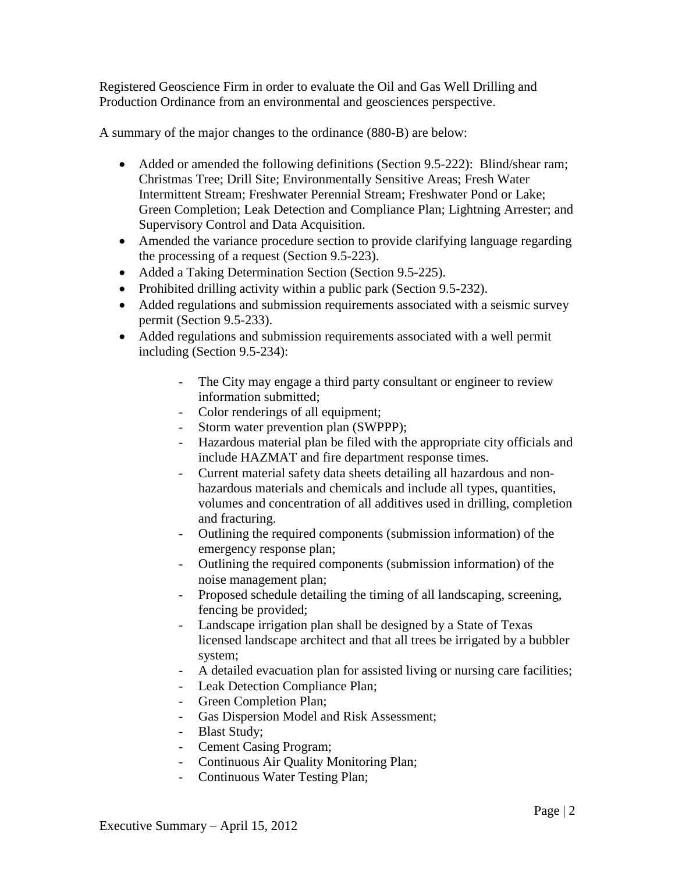Registered Geoscience Firm in order to evaluate the Oil and Gas Well Drilling and Production Ordinance from an environmental and geosciences perspective.

A summary of the major changes to the ordinance (880-B) are below:

- Added or amended the following definitions (Section 9.5-222): Blind/shear ram; Christmas Tree; Drill Site; Environmentally Sensitive Areas; Fresh Water Intermittent Stream; Freshwater Perennial Stream; Freshwater Pond or Lake; Green Completion; Leak Detection and Compliance Plan; Lightning Arrester; and Supervisory Control and Data Acquisition.
- Amended the variance procedure section to provide clarifying language regarding the processing of a request (Section 9.5-223).
- Added a Taking Determination Section (Section 9.5-225).
- Prohibited drilling activity within a public park (Section 9.5-232).
- Added regulations and submission requirements associated with a seismic survey permit (Section 9.5-233).
- Added regulations and submission requirements associated with a well permit including (Section 9.5-234):
	- The City may engage a third party consultant or engineer to review information submitted;
	- Color renderings of all equipment;
	- Storm water prevention plan (SWPPP);
	- Hazardous material plan be filed with the appropriate city officials and include HAZMAT and fire department response times.
	- Current material safety data sheets detailing all hazardous and nonhazardous materials and chemicals and include all types, quantities, volumes and concentration of all additives used in drilling, completion and fracturing.
	- Outlining the required components (submission information) of the emergency response plan;
	- Outlining the required components (submission information) of the noise management plan;
	- Proposed schedule detailing the timing of all landscaping, screening, fencing be provided;
	- Landscape irrigation plan shall be designed by a State of Texas licensed landscape architect and that all trees be irrigated by a bubbler system;
	- A detailed evacuation plan for assisted living or nursing care facilities;
	- Leak Detection Compliance Plan;
	- Green Completion Plan;
	- Gas Dispersion Model and Risk Assessment;
	- Blast Study;
	- Cement Casing Program;
	- Continuous Air Quality Monitoring Plan;
	- Continuous Water Testing Plan;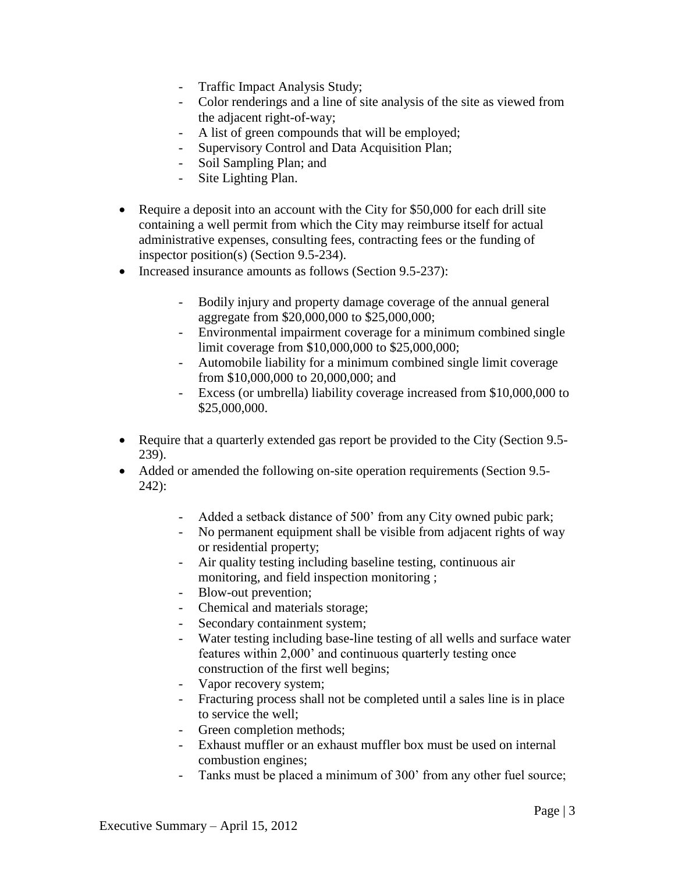- Traffic Impact Analysis Study;
- Color renderings and a line of site analysis of the site as viewed from the adjacent right-of-way;
- A list of green compounds that will be employed;
- Supervisory Control and Data Acquisition Plan;
- Soil Sampling Plan; and
- Site Lighting Plan.
- Require a deposit into an account with the City for \$50,000 for each drill site containing a well permit from which the City may reimburse itself for actual administrative expenses, consulting fees, contracting fees or the funding of inspector position(s) (Section 9.5-234).
- Increased insurance amounts as follows (Section 9.5-237):
	- Bodily injury and property damage coverage of the annual general aggregate from \$20,000,000 to \$25,000,000;
	- Environmental impairment coverage for a minimum combined single limit coverage from \$10,000,000 to \$25,000,000;
	- Automobile liability for a minimum combined single limit coverage from \$10,000,000 to 20,000,000; and
	- Excess (or umbrella) liability coverage increased from \$10,000,000 to \$25,000,000.
- Require that a quarterly extended gas report be provided to the City (Section 9.5-239).
- Added or amended the following on-site operation requirements (Section 9.5- 242):
	- Added a setback distance of 500' from any City owned pubic park;
	- No permanent equipment shall be visible from adjacent rights of way or residential property;
	- Air quality testing including baseline testing, continuous air monitoring, and field inspection monitoring ;
	- Blow-out prevention;
	- Chemical and materials storage;
	- Secondary containment system;
	- Water testing including base-line testing of all wells and surface water features within 2,000' and continuous quarterly testing once construction of the first well begins;
	- Vapor recovery system;
	- Fracturing process shall not be completed until a sales line is in place to service the well;
	- Green completion methods;
	- Exhaust muffler or an exhaust muffler box must be used on internal combustion engines;
	- Tanks must be placed a minimum of 300' from any other fuel source;